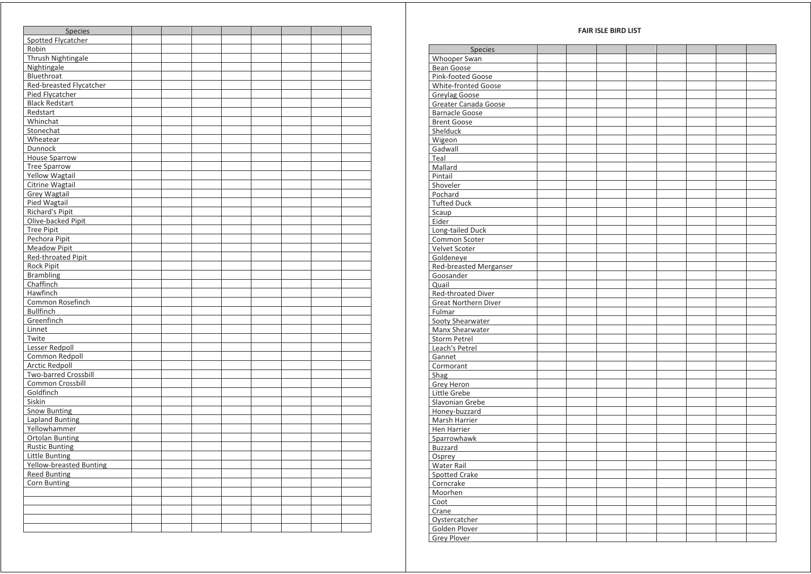| <b>FAIR ISLE BIRD LIST</b> |  |  |  |  |
|----------------------------|--|--|--|--|
|----------------------------|--|--|--|--|

| Spotted Flycatcher                                                                                                                                                                                                                                                                                                                                                                                                                                                                                                                                                                                                                                                                                                                                                                                                                                    | <b>Species</b>      |  |  |  |  |
|-------------------------------------------------------------------------------------------------------------------------------------------------------------------------------------------------------------------------------------------------------------------------------------------------------------------------------------------------------------------------------------------------------------------------------------------------------------------------------------------------------------------------------------------------------------------------------------------------------------------------------------------------------------------------------------------------------------------------------------------------------------------------------------------------------------------------------------------------------|---------------------|--|--|--|--|
| Robin<br>Thrush Nightingale<br>Nightingale<br>Bluethroat<br>Red-breasted Flycatcher<br>Pied Flycatcher<br><b>Black Redstart</b><br>Redstart<br>Whinchat<br>Stonechat<br>Wheatear<br>Dunnock<br><b>House Sparrow</b><br><b>Tree Sparrow</b><br><b>Yellow Wagtail</b><br>Citrine Wagtail<br><b>Grey Wagtail</b><br>Pied Wagtail<br><b>Richard's Pipit</b><br>Olive-backed Pipit<br><b>Tree Pipit</b><br>Pechora Pipit<br><b>Meadow Pipit</b><br>Red-throated Pipit<br><b>Rock Pipit</b><br><b>Brambling</b><br>Chaffinch<br>Lesser Redpoll<br>Common Redpoll<br><b>Arctic Redpoll</b><br><b>Two-barred Crossbill</b><br>Common Crossbill<br>Goldfinch<br>Siskin<br><b>Snow Bunting</b><br><b>Lapland Bunting</b><br>Yellowhammer<br><b>Ortolan Bunting</b><br><b>Rustic Bunting</b><br>Little Bunting<br>Yellow-breasted Bunting<br><b>Reed Bunting</b> |                     |  |  |  |  |
|                                                                                                                                                                                                                                                                                                                                                                                                                                                                                                                                                                                                                                                                                                                                                                                                                                                       |                     |  |  |  |  |
|                                                                                                                                                                                                                                                                                                                                                                                                                                                                                                                                                                                                                                                                                                                                                                                                                                                       |                     |  |  |  |  |
|                                                                                                                                                                                                                                                                                                                                                                                                                                                                                                                                                                                                                                                                                                                                                                                                                                                       |                     |  |  |  |  |
|                                                                                                                                                                                                                                                                                                                                                                                                                                                                                                                                                                                                                                                                                                                                                                                                                                                       |                     |  |  |  |  |
|                                                                                                                                                                                                                                                                                                                                                                                                                                                                                                                                                                                                                                                                                                                                                                                                                                                       |                     |  |  |  |  |
|                                                                                                                                                                                                                                                                                                                                                                                                                                                                                                                                                                                                                                                                                                                                                                                                                                                       |                     |  |  |  |  |
|                                                                                                                                                                                                                                                                                                                                                                                                                                                                                                                                                                                                                                                                                                                                                                                                                                                       |                     |  |  |  |  |
|                                                                                                                                                                                                                                                                                                                                                                                                                                                                                                                                                                                                                                                                                                                                                                                                                                                       |                     |  |  |  |  |
|                                                                                                                                                                                                                                                                                                                                                                                                                                                                                                                                                                                                                                                                                                                                                                                                                                                       |                     |  |  |  |  |
|                                                                                                                                                                                                                                                                                                                                                                                                                                                                                                                                                                                                                                                                                                                                                                                                                                                       |                     |  |  |  |  |
|                                                                                                                                                                                                                                                                                                                                                                                                                                                                                                                                                                                                                                                                                                                                                                                                                                                       |                     |  |  |  |  |
|                                                                                                                                                                                                                                                                                                                                                                                                                                                                                                                                                                                                                                                                                                                                                                                                                                                       |                     |  |  |  |  |
|                                                                                                                                                                                                                                                                                                                                                                                                                                                                                                                                                                                                                                                                                                                                                                                                                                                       |                     |  |  |  |  |
|                                                                                                                                                                                                                                                                                                                                                                                                                                                                                                                                                                                                                                                                                                                                                                                                                                                       |                     |  |  |  |  |
|                                                                                                                                                                                                                                                                                                                                                                                                                                                                                                                                                                                                                                                                                                                                                                                                                                                       |                     |  |  |  |  |
|                                                                                                                                                                                                                                                                                                                                                                                                                                                                                                                                                                                                                                                                                                                                                                                                                                                       |                     |  |  |  |  |
|                                                                                                                                                                                                                                                                                                                                                                                                                                                                                                                                                                                                                                                                                                                                                                                                                                                       |                     |  |  |  |  |
|                                                                                                                                                                                                                                                                                                                                                                                                                                                                                                                                                                                                                                                                                                                                                                                                                                                       |                     |  |  |  |  |
|                                                                                                                                                                                                                                                                                                                                                                                                                                                                                                                                                                                                                                                                                                                                                                                                                                                       |                     |  |  |  |  |
|                                                                                                                                                                                                                                                                                                                                                                                                                                                                                                                                                                                                                                                                                                                                                                                                                                                       |                     |  |  |  |  |
|                                                                                                                                                                                                                                                                                                                                                                                                                                                                                                                                                                                                                                                                                                                                                                                                                                                       |                     |  |  |  |  |
|                                                                                                                                                                                                                                                                                                                                                                                                                                                                                                                                                                                                                                                                                                                                                                                                                                                       |                     |  |  |  |  |
|                                                                                                                                                                                                                                                                                                                                                                                                                                                                                                                                                                                                                                                                                                                                                                                                                                                       |                     |  |  |  |  |
|                                                                                                                                                                                                                                                                                                                                                                                                                                                                                                                                                                                                                                                                                                                                                                                                                                                       |                     |  |  |  |  |
|                                                                                                                                                                                                                                                                                                                                                                                                                                                                                                                                                                                                                                                                                                                                                                                                                                                       |                     |  |  |  |  |
|                                                                                                                                                                                                                                                                                                                                                                                                                                                                                                                                                                                                                                                                                                                                                                                                                                                       |                     |  |  |  |  |
|                                                                                                                                                                                                                                                                                                                                                                                                                                                                                                                                                                                                                                                                                                                                                                                                                                                       |                     |  |  |  |  |
|                                                                                                                                                                                                                                                                                                                                                                                                                                                                                                                                                                                                                                                                                                                                                                                                                                                       |                     |  |  |  |  |
|                                                                                                                                                                                                                                                                                                                                                                                                                                                                                                                                                                                                                                                                                                                                                                                                                                                       | Hawfinch            |  |  |  |  |
|                                                                                                                                                                                                                                                                                                                                                                                                                                                                                                                                                                                                                                                                                                                                                                                                                                                       | Common Rosefinch    |  |  |  |  |
|                                                                                                                                                                                                                                                                                                                                                                                                                                                                                                                                                                                                                                                                                                                                                                                                                                                       | <b>Bullfinch</b>    |  |  |  |  |
|                                                                                                                                                                                                                                                                                                                                                                                                                                                                                                                                                                                                                                                                                                                                                                                                                                                       | Greenfinch          |  |  |  |  |
|                                                                                                                                                                                                                                                                                                                                                                                                                                                                                                                                                                                                                                                                                                                                                                                                                                                       | Linnet              |  |  |  |  |
|                                                                                                                                                                                                                                                                                                                                                                                                                                                                                                                                                                                                                                                                                                                                                                                                                                                       | Twite               |  |  |  |  |
|                                                                                                                                                                                                                                                                                                                                                                                                                                                                                                                                                                                                                                                                                                                                                                                                                                                       |                     |  |  |  |  |
|                                                                                                                                                                                                                                                                                                                                                                                                                                                                                                                                                                                                                                                                                                                                                                                                                                                       |                     |  |  |  |  |
|                                                                                                                                                                                                                                                                                                                                                                                                                                                                                                                                                                                                                                                                                                                                                                                                                                                       |                     |  |  |  |  |
|                                                                                                                                                                                                                                                                                                                                                                                                                                                                                                                                                                                                                                                                                                                                                                                                                                                       |                     |  |  |  |  |
|                                                                                                                                                                                                                                                                                                                                                                                                                                                                                                                                                                                                                                                                                                                                                                                                                                                       |                     |  |  |  |  |
|                                                                                                                                                                                                                                                                                                                                                                                                                                                                                                                                                                                                                                                                                                                                                                                                                                                       |                     |  |  |  |  |
|                                                                                                                                                                                                                                                                                                                                                                                                                                                                                                                                                                                                                                                                                                                                                                                                                                                       |                     |  |  |  |  |
|                                                                                                                                                                                                                                                                                                                                                                                                                                                                                                                                                                                                                                                                                                                                                                                                                                                       |                     |  |  |  |  |
|                                                                                                                                                                                                                                                                                                                                                                                                                                                                                                                                                                                                                                                                                                                                                                                                                                                       |                     |  |  |  |  |
|                                                                                                                                                                                                                                                                                                                                                                                                                                                                                                                                                                                                                                                                                                                                                                                                                                                       |                     |  |  |  |  |
|                                                                                                                                                                                                                                                                                                                                                                                                                                                                                                                                                                                                                                                                                                                                                                                                                                                       |                     |  |  |  |  |
|                                                                                                                                                                                                                                                                                                                                                                                                                                                                                                                                                                                                                                                                                                                                                                                                                                                       |                     |  |  |  |  |
|                                                                                                                                                                                                                                                                                                                                                                                                                                                                                                                                                                                                                                                                                                                                                                                                                                                       |                     |  |  |  |  |
|                                                                                                                                                                                                                                                                                                                                                                                                                                                                                                                                                                                                                                                                                                                                                                                                                                                       |                     |  |  |  |  |
|                                                                                                                                                                                                                                                                                                                                                                                                                                                                                                                                                                                                                                                                                                                                                                                                                                                       |                     |  |  |  |  |
|                                                                                                                                                                                                                                                                                                                                                                                                                                                                                                                                                                                                                                                                                                                                                                                                                                                       |                     |  |  |  |  |
|                                                                                                                                                                                                                                                                                                                                                                                                                                                                                                                                                                                                                                                                                                                                                                                                                                                       | <b>Corn Bunting</b> |  |  |  |  |
|                                                                                                                                                                                                                                                                                                                                                                                                                                                                                                                                                                                                                                                                                                                                                                                                                                                       |                     |  |  |  |  |
|                                                                                                                                                                                                                                                                                                                                                                                                                                                                                                                                                                                                                                                                                                                                                                                                                                                       |                     |  |  |  |  |
|                                                                                                                                                                                                                                                                                                                                                                                                                                                                                                                                                                                                                                                                                                                                                                                                                                                       |                     |  |  |  |  |
|                                                                                                                                                                                                                                                                                                                                                                                                                                                                                                                                                                                                                                                                                                                                                                                                                                                       |                     |  |  |  |  |
|                                                                                                                                                                                                                                                                                                                                                                                                                                                                                                                                                                                                                                                                                                                                                                                                                                                       |                     |  |  |  |  |
|                                                                                                                                                                                                                                                                                                                                                                                                                                                                                                                                                                                                                                                                                                                                                                                                                                                       |                     |  |  |  |  |

| Species                    |  |  |  |  |
|----------------------------|--|--|--|--|
| Vhooper Swan               |  |  |  |  |
| Bean Goose                 |  |  |  |  |
| ink-footed Goose           |  |  |  |  |
| <b>Vhite-fronted Goose</b> |  |  |  |  |
| Greylag Goose              |  |  |  |  |
| Greater Canada Goose       |  |  |  |  |
| arnacle Goose              |  |  |  |  |
| <b>Brent Goose</b>         |  |  |  |  |
| helduck                    |  |  |  |  |
| Vigeon                     |  |  |  |  |
| iadwall                    |  |  |  |  |
| eal                        |  |  |  |  |
| <b>Aallard</b>             |  |  |  |  |
| intail                     |  |  |  |  |
| hoveler                    |  |  |  |  |
| ochard                     |  |  |  |  |
| ufted Duck                 |  |  |  |  |
| caup                       |  |  |  |  |
| ider                       |  |  |  |  |
| ong-tailed Duck            |  |  |  |  |
| Common Scoter              |  |  |  |  |
| elvet Scoter               |  |  |  |  |
| ioldeneye                  |  |  |  |  |
| Red-breasted Merganser     |  |  |  |  |
| Goosander                  |  |  |  |  |
| λuail                      |  |  |  |  |
| ed-throated Diver          |  |  |  |  |
| Great Northern Diver       |  |  |  |  |
| ulmar                      |  |  |  |  |
| ooty Shearwater            |  |  |  |  |
| Aanx Shearwater            |  |  |  |  |
| torm Petrel                |  |  |  |  |
| each's Petrel              |  |  |  |  |
| Gannet                     |  |  |  |  |
| Cormorant                  |  |  |  |  |
| ihag                       |  |  |  |  |
| Grey Heron                 |  |  |  |  |
| ittle Grebe                |  |  |  |  |
| <b>lavonian Grebe</b>      |  |  |  |  |
| loney-buzzard              |  |  |  |  |
| Aarsh Harrier              |  |  |  |  |
| len Harrier                |  |  |  |  |
| parrowhawk                 |  |  |  |  |
| uzzard                     |  |  |  |  |
| )sprey                     |  |  |  |  |
| Vater Rail                 |  |  |  |  |
| potted Crake               |  |  |  |  |
| Corncrake                  |  |  |  |  |
| ∕loorhen                   |  |  |  |  |
| coot                       |  |  |  |  |
| crane                      |  |  |  |  |
| <b>Oystercatcher</b>       |  |  |  |  |
| Golden Plover              |  |  |  |  |
| Grey Plover                |  |  |  |  |
|                            |  |  |  |  |